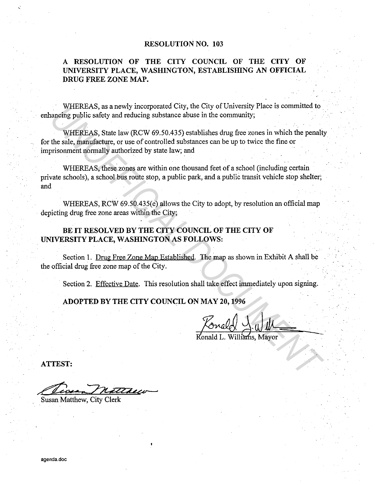#### **RESOLUTION NO. 103**

## **A RESOLUTION OF THE CITY COUNCIL OF THE CITY OF UNIVERSITY PLACE, WASHINGTON, ESTABLISHING AN OFFICIAL DRUG FREE ZONE MAP.**

WHEREAS, as a newly incorporated City, the City of University Place is committed to enhancing public safety and reducing substance abuse in the community;

WHEREAS, State law (RCW 69.50.435) establishes drug free zones in which the penalty for the sale, manufacture, or use of controlled substances can be up to twice the fine or imprisonment normally authorized by state law; and WHEREAS, as a newly moroporated City, the City of University Place is committed to<br>nancing public safety and reducing substance abuse in the community;<br>WHEREAS, State law (RCW 69.50.435) establishes drug free zones in whic

WHEREAS, these zones are within one thousand feet of a school (including certain private schools), a school bus route stop, a public park, and a public transit vehicle stop shelter; and

WHEREAS, RCW 69.50.435(e) allows the City to adopt, by resolution an official map depicting drug free zone areas within the City;

### BE IT RESOLVED BY THE CITY COUNCIL OF THE CITY OF **UNIVERSITY PLACE, WASHINGTON AS FOLLOWS:**

Section 1. Drug Free Zone Map Established. The map as shown in Exhibit A shall be the official drug free zone map of the City.

Section 2. Effective Date. This resolution shall take effect immediately upon signing.

**ADOPTED BY THE CITY COUNCIL ON MAY 20, 1996** 

 $\overline{\text{Willium}}$ s, Mayor

**ATTEST:** 

Susan Matthew, City Clerk